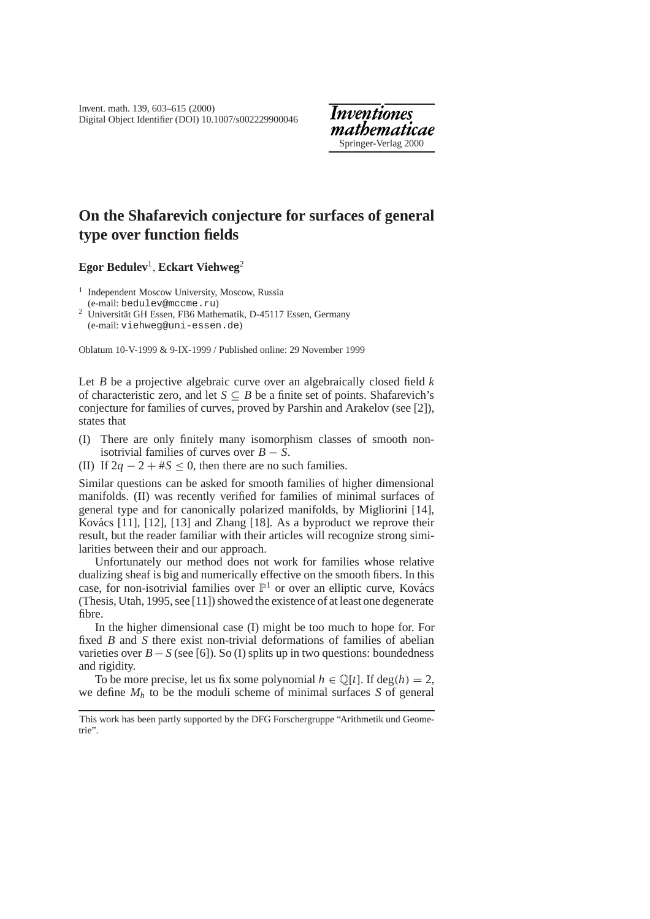# **On the Shafarevich conjecture for surfaces of general type over function fields**

**Egor Bedulev**<sup>1</sup>,**Eckart Viehweg**<sup>2</sup>

<sup>1</sup> Independent Moscow University, Moscow, Russia (e-mail: bedulev@mccme.ru)

<sup>2</sup> Universität GH Essen, FB6 Mathematik, D-45117 Essen, Germany (e-mail: viehweg@uni-essen.de)

Oblatum 10-V-1999 & 9-IX-1999 / Published online: 29 November 1999

Let *B* be a projective algebraic curve over an algebraically closed field *k* of characteristic zero, and let  $S \subseteq B$  be a finite set of points. Shafarevich's conjecture for families of curves, proved by Parshin and Arakelov (see [2]), states that

- (I) There are only finitely many isomorphism classes of smooth nonisotrivial families of curves over  $B - S$ .
- (II) If  $2q 2 + \#S < 0$ , then there are no such families.

Similar questions can be asked for smooth families of higher dimensional manifolds. (II) was recently verified for families of minimal surfaces of general type and for canonically polarized manifolds, by Migliorini [14], Kovács  $[11]$ ,  $[12]$ ,  $[13]$  and Zhang  $[18]$ . As a byproduct we reprove their result, but the reader familiar with their articles will recognize strong similarities between their and our approach.

Unfortunately our method does not work for families whose relative dualizing sheaf is big and numerically effective on the smooth fibers. In this case, for non-isotrivial families over  $\mathbb{P}^1$  or over an elliptic curve, Kovács (Thesis, Utah, 1995, see [11]) showed the existence of at least one degenerate fibre.

In the higher dimensional case (I) might be too much to hope for. For fixed *B* and *S* there exist non-trivial deformations of families of abelian varieties over  $B - S$  (see [6]). So (I) splits up in two questions: boundedness and rigidity.

To be more precise, let us fix some polynomial  $h \in \mathbb{Q}[t]$ . If  $deg(h) = 2$ , we define  $M_h$  to be the moduli scheme of minimal surfaces *S* of general

This work has been partly supported by the DFG Forschergruppe "Arithmetik und Geometrie".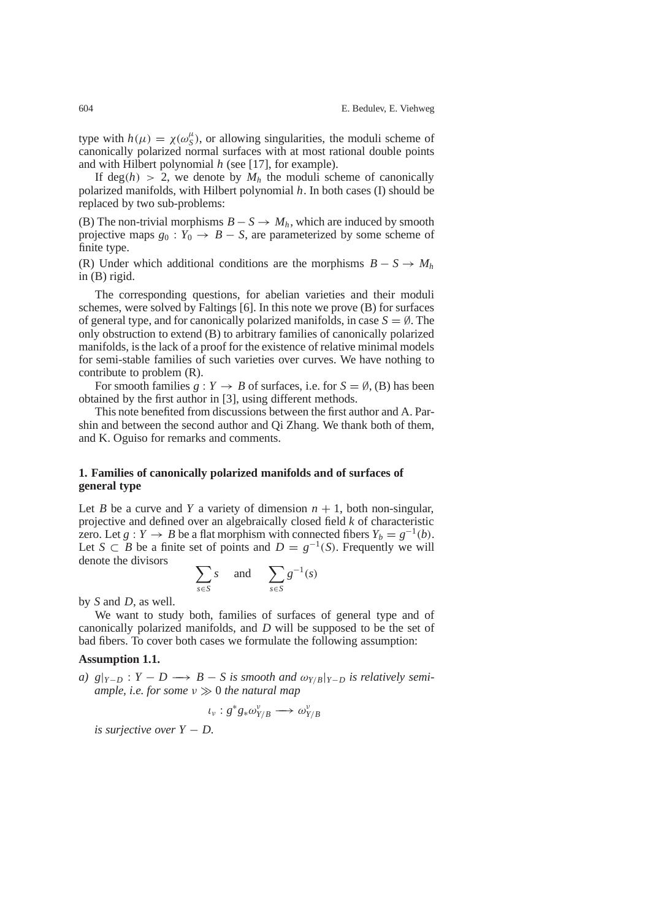type with  $h(\mu) = \chi(\omega_S^{\mu})$ , or allowing singularities, the moduli scheme of canonically polarized normal surfaces with at most rational double points and with Hilbert polynomial *h* (see [17], for example).

If deg(*h*) > 2, we denote by  $M_h$  the moduli scheme of canonically polarized manifolds, with Hilbert polynomial *h*. In both cases (I) should be replaced by two sub-problems:

(B) The non-trivial morphisms  $B - S \rightarrow M_h$ , which are induced by smooth projective maps  $g_0$ :  $Y_0 \rightarrow B - S$ , are parameterized by some scheme of finite type.

(R) Under which additional conditions are the morphisms  $B - S \rightarrow M_h$ in (B) rigid.

The corresponding questions, for abelian varieties and their moduli schemes, were solved by Faltings [6]. In this note we prove (B) for surfaces of general type, and for canonically polarized manifolds, in case  $S = \emptyset$ . The only obstruction to extend (B) to arbitrary families of canonically polarized manifolds, is the lack of a proof for the existence of relative minimal models for semi-stable families of such varieties over curves. We have nothing to contribute to problem (R).

For smooth families  $g: Y \to B$  of surfaces, i.e. for  $S = \emptyset$ , (B) has been obtained by the first author in [3], using different methods.

This note benefited from discussions between the first author and A. Parshin and between the second author and Qi Zhang. We thank both of them, and K. Oguiso for remarks and comments.

## **1. Families of canonically polarized manifolds and of surfaces of general type**

Let *B* be a curve and *Y* a variety of dimension  $n + 1$ , both non-singular, projective and defined over an algebraically closed field *k* of characteristic zero. Let *g* : *Y*  $\rightarrow$  *B* be a flat morphism with connected fibers  $Y_b = g^{-1}(b)$ . Let *S* ⊂ *B* be a finite set of points and  $D = g^{-1}(S)$ . Frequently we will denote the divisors

$$
\sum_{s \in S} s \quad \text{and} \quad \sum_{s \in S} g^{-1}(s)
$$

by *S* and *D*, as well.

We want to study both, families of surfaces of general type and of canonically polarized manifolds, and *D* will be supposed to be the set of bad fibers. To cover both cases we formulate the following assumption:

## **Assumption 1.1.**

*a*)  $g|_{Y-D}$  :  $Y-D \longrightarrow B-S$  *is smooth and*  $\omega_{Y/B}|_{Y-D}$  *is relatively semiample, i.e. for some*  $\nu \gg 0$  *the natural map* 

$$
\iota_{\nu}: g^*g_*\omega_{Y/B}^{\nu} \longrightarrow \omega_{Y/B}^{\nu}
$$

*is surjective over Y* − *D.*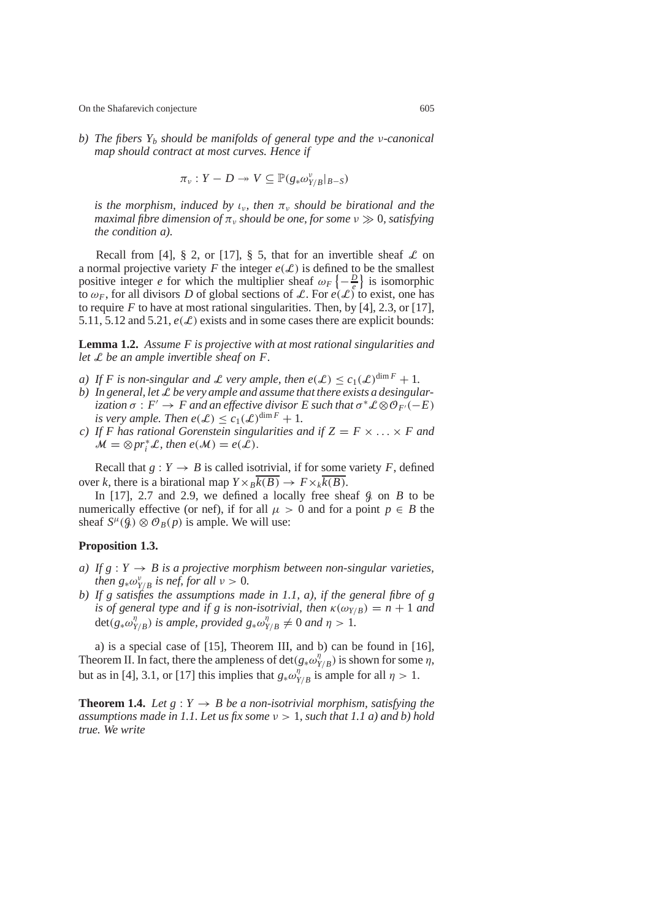*b) The fibers Yb should be manifolds of general type and the* ν*-canonical map should contract at most curves. Hence if*

$$
\pi_v: Y-D \twoheadrightarrow V \subseteq \mathbb{P}(g_*\omega_{Y/B}^v|_{B-S})
$$

*is the morphism, induced by*  $\iota_{\nu}$ , then  $\pi_{\nu}$  *should be birational and the maximal fibre dimension of*  $\pi$ <sup>*,*</sup> *should be one, for some*  $\nu \gg 0$ *, satisfying the condition a).*

Recall from [4], § 2, or [17], § 5, that for an invertible sheaf  $\mathcal L$  on a normal projective variety F the integer  $e(\mathcal{L})$  is defined to be the smallest positive integer *e* for which the multiplier sheaf  $\omega_F \left\{-\frac{D}{\varepsilon}\right\}$  is isomorphic to  $\omega_F$ , for all divisors *D* of global sections of *L*. For  $e(\mathcal{L})$  to exist, one has to require  $F$  to have at most rational singularities. Then, by [4], 2.3, or [17], 5.11, 5.12 and 5.21,  $e(\mathcal{L})$  exists and in some cases there are explicit bounds:

**Lemma 1.2.** *Assume F is projective with at most rational singularities and let* L *be an ample invertible sheaf on F.*

- *a)* If F is non-singular and L very ample, then  $e(\mathcal{L}) \leq c_1(\mathcal{L})^{\dim F} + 1$ .
- *b) In general, let* L *be very ample and assume that there exists a desingularization*  $\sigma$  :  $F' \rightarrow F$  *and an effective divisor*  $E$  *such that*  $\sigma^* \mathcal{L} \otimes \mathcal{O}_{F'}(-E)$ *is very ample. Then*  $e(\mathcal{L}) \leq c_1(\mathcal{L})^{\dim F} + 1$ .
- *c*) If *F* has rational Gorenstein singularities and if  $Z = F \times \ldots \times F$  and  $\mathcal{M} = \otimes pr_i^* \mathcal{L}$ , then  $e(\mathcal{M}) = e(\mathcal{L})$ .

Recall that  $g: Y \to B$  is called isotrivial, if for some variety *F*, defined over *k*, there is a birational map  $Y \times_B k(B) \to F \times_k k(B)$ .

In  $[17]$ , 2.7 and 2.9, we defined a locally free sheaf  $\beta$  on *B* to be numerically effective (or nef), if for all  $\mu > 0$  and for a point  $p \in B$  the sheaf  $S^{\mu}(\mathcal{G}) \otimes \mathcal{O}_B(p)$  is ample. We will use:

## **Proposition 1.3.**

- *a)* If  $g: Y \to B$  *is a projective morphism between non-singular varieties, then*  $g_* \omega_{Y/B}^v$  *is nef, for all*  $v > 0$ *.*
- *b) If g satisfies the assumptions made in 1.1, a), if the general fibre of g is of general type and if g is non-isotrivial, then*  $\kappa(\omega_{Y/B}) = n + 1$  *and* det( $g_* \omega_{Y/B}^{\eta}$ ) *is ample, provided*  $g_* \omega_{Y/B}^{\eta} \neq 0$  *and*  $\eta > 1$ *.*

a) is a special case of [15], Theorem III, and b) can be found in [16], Theorem II. In fact, there the ampleness of det( $g_* \omega_{Y/B}^{\eta}$ ) is shown for some  $\eta$ , but as in [4], 3.1, or [17] this implies that  $g_* \omega_{Y/B}^{\eta}$  is ample for all  $\eta > 1$ .

**Theorem 1.4.** *Let*  $g: Y \rightarrow B$  *be a non-isotrivial morphism, satisfying the assumptions made in 1.1. Let us fix some*  $v > 1$ *, such that 1.1 a) and b) hold true. We write*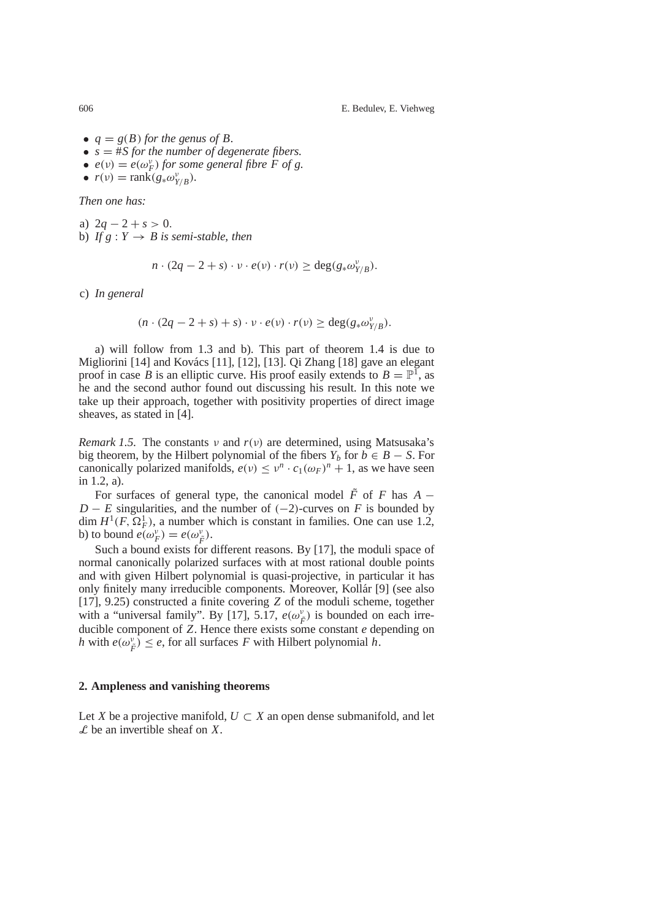- $q = g(B)$  *for the genus of B.*
- $s = #S$  *for the number of degenerate fibers.*
- $e(v) = e(\omega_F^v)$  *for some general fibre F of g*.
- $r(v) = \text{rank}(g_* \omega_{Y/B}^v)$ .

*Then one has:*

a)  $2q - 2 + s > 0$ . b) *If*  $g: Y \rightarrow B$  *is semi-stable, then* 

$$
n \cdot (2q - 2 + s) \cdot v \cdot e(v) \cdot r(v) \ge \deg(g_* \omega_{Y/B}^v).
$$

c) *In general*

$$
(n \cdot (2q - 2 + s) + s) \cdot v \cdot e(v) \cdot r(v) \geq \deg(g_* \omega_{Y/B}^v).
$$

a) will follow from 1.3 and b). This part of theorem 1.4 is due to Migliorini  $[14]$  and Kovács  $[11]$ ,  $[12]$ ,  $[13]$ . Qi Zhang  $[18]$  gave an elegant proof in case *B* is an elliptic curve. His proof easily extends to  $B = \mathbb{P}^1$ , as he and the second author found out discussing his result. In this note we take up their approach, together with positivity properties of direct image sheaves, as stated in [4].

*Remark 1.5.* The constants  $\nu$  and  $r(\nu)$  are determined, using Matsusaka's big theorem, by the Hilbert polynomial of the fibers  $Y_b$  for  $b \in B - S$ . For canonically polarized manifolds,  $e(v) \le v^n \cdot c_1(\omega_F)^n + 1$ , as we have seen in 1.2, a).

For surfaces of general type, the canonical model  $\tilde{F}$  of *F* has  $A -$ *D* − *E* singularities, and the number of  $(-2)$ -curves on *F* is bounded by dim  $H^1(F, \Omega^1_F)$ , a number which is constant in families. One can use 1.2, b) to bound  $e(\omega_F^v) = e(\omega_{\tilde{F}}^v)$ .

Such a bound exists for different reasons. By [17], the moduli space of normal canonically polarized surfaces with at most rational double points and with given Hilbert polynomial is quasi-projective, in particular it has only finitely many irreducible components. Moreover, Kollár [9] (see also [17], 9.25) constructed a finite covering *Z* of the moduli scheme, together with a "universal family". By [17], 5.17,  $e(\omega_{\tilde{F}}^{\nu})$  is bounded on each irreducible component of *Z*. Hence there exists some constant *e* depending on *h* with  $e(\omega_{\vec{F}}^{\nu}) \leq e$ , for all surfaces *F* with Hilbert polynomial *h*.

#### **2. Ampleness and vanishing theorems**

Let *X* be a projective manifold,  $U \subset X$  an open dense submanifold, and let L be an invertible sheaf on *X*.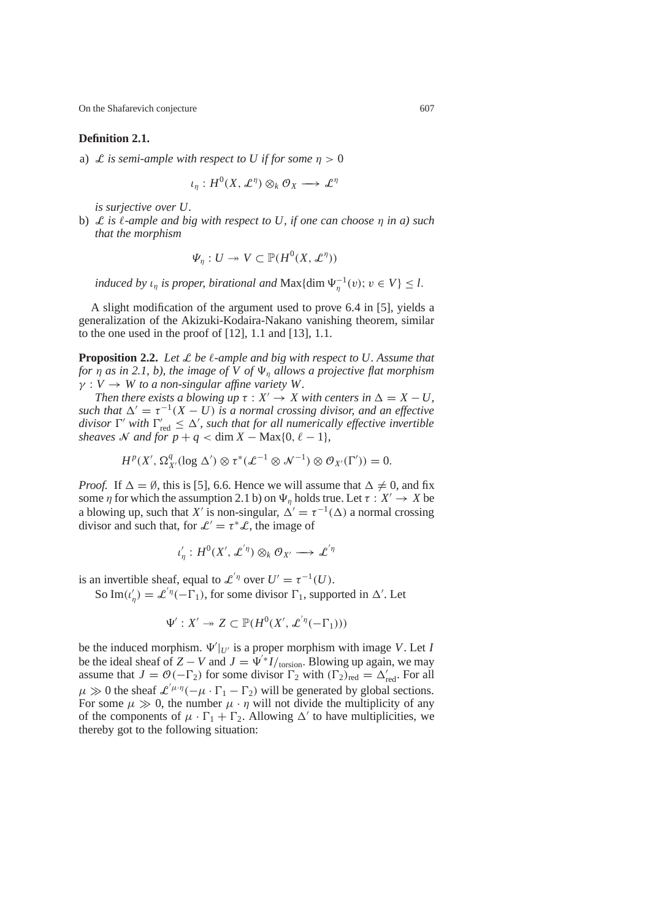### **Definition 2.1.**

a) L *is semi-ample with respect to U if for some*  $\eta > 0$ 

 $\iota_\eta: H^0(X,\mathcal{L}^\eta)\otimes_k\mathcal{O}_X\longrightarrow \mathcal{L}^\eta$ 

*is surjective over U.*

b) L *is* `*-ample and big with respect to U, if one can choose* η *in a) such that the morphism*

$$
\Psi_\eta: U \twoheadrightarrow V \subset \mathbb{P}(H^0(X, \mathcal{L}^\eta))
$$

*induced by*  $\iota_{\eta}$  *is proper, birational and*  $\text{Max}\{\text{dim }\Psi_{\eta}^{-1}(v); v \in V\} \leq l$ .

A slight modification of the argument used to prove 6.4 in [5], yields a generalization of the Akizuki-Kodaira-Nakano vanishing theorem, similar to the one used in the proof of  $[12]$ , 1.1 and  $[13]$ , 1.1.

**Proposition 2.2.** Let L be  $\ell$ -ample and big with respect to U. Assume that *for*  $\eta$  *as in 2.1, b), the image of V of*  $\Psi_n$  *allows a projective flat morphism*  $\gamma: V \to W$  *to a non-singular affine variety W*.

*Then there exists a blowing up*  $\tau : X' \to X$  *with centers in*  $\Delta = X - U$ , *such that*  $\Delta' = \tau^{-1}(X - U)$  *is a normal crossing divisor, and an effective* divisor  $\Gamma'$  *with*  $\Gamma'_{\text{red}} \leq \Delta'$ , such that for all numerically effective invertible *sheaves* N and for  $p + q < \dim X - \text{Max}{0, \ell - 1}$ *,* 

$$
H^p(X', \Omega^q_{X'}(\log \Delta') \otimes \tau^*(\mathcal{L}^{-1} \otimes \mathcal{N}^{-1}) \otimes \mathcal{O}_{X'}(\Gamma')) = 0.
$$

*Proof.* If  $\Delta = \emptyset$ , this is [5], 6.6. Hence we will assume that  $\Delta \neq 0$ , and fix some  $\eta$  for which the assumption 2.1 b) on  $\Psi_n$  holds true. Let  $\tau : X' \to X$  be a blowing up, such that *X'* is non-singular,  $\Delta' = \tau^{-1}(\Delta)$  a normal crossing divisor and such that, for  $\mathcal{L}' = \tau^* \mathcal{L}$ , the image of

 $\iota'_{\eta}: H^0(X',\mathcal{L}^{'\eta})\otimes_k\mathcal{O}_{X'}\longrightarrow \mathcal{L}^{'\eta}$ 

is an invertible sheaf, equal to  $\mathcal{L}^{'\eta}$  over  $U' = \tau^{-1}(U)$ .

So Im( $\iota'_{\eta}$ ) =  $\mathcal{L}^{'\eta}(-\Gamma_1)$ , for some divisor  $\Gamma_1$ , supported in  $\Delta'$ . Let

$$
\Psi': X' \to Z \subset \mathbb{P}(H^0(X', \mathcal{L}^{'\eta}(-\Gamma_1)))
$$

be the induced morphism.  $\Psi'|_{U'}$  is a proper morphism with image *V*. Let *I* be the ideal sheaf of  $Z - V$  and  $J = \Psi^* I / \text{torsion}$ . Blowing up again, we may assume that  $J = \mathcal{O}(-\Gamma_2)$  for some divisor  $\Gamma_2$  with  $(\Gamma_2)_{\text{red}} = \Delta'_{\text{red}}$ . For all  $\mu \gg 0$  the sheaf  $\mathcal{L}^{'\mu \cdot \eta}(-\mu \cdot \Gamma_1 - \Gamma_2)$  will be generated by global sections. For some  $\mu \gg 0$ , the number  $\mu \cdot \eta$  will not divide the multiplicity of any of the components of  $\mu \cdot \Gamma_1 + \Gamma_2$ . Allowing  $\Delta'$  to have multiplicities, we thereby got to the following situation: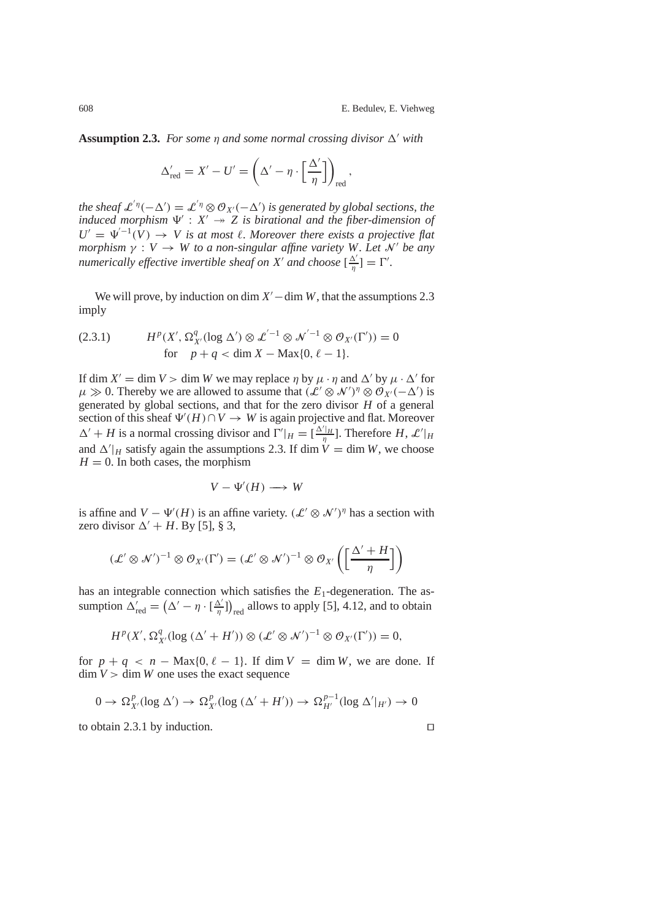**Assumption 2.3.** *For some* η *and some normal crossing divisor* ∆' *with* 

$$
\Delta_{\text{red}}' = X' - U' = \left(\Delta' - \eta \cdot \left[\frac{\Delta'}{\eta}\right]\right)_{\text{red}},
$$

*the sheaf*  $\mathcal{L}^{'\eta}(-\Delta') = \mathcal{L}^{'\eta} \otimes \mathcal{O}_{X'}(-\Delta')$  *is generated by global sections, the induced morphism*  $\Psi' : X' \rightarrow Z$  *is birational and the fiber-dimension of*  $U' = \Psi^{-1}(V) \rightarrow V$  *is at most*  $\ell$ *. Moreover there exists a projective flat morphism*  $\gamma : V \to W$  *to a non-singular affine variety W. Let N' be any numerically effective invertible sheaf on*  $X'$  *and choose*  $\left[\frac{\Delta'}{\eta}\right] = \Gamma'.$ 

We will prove, by induction on dim  $X'$  – dim *W*, that the assumptions 2.3 imply

(2.3.1) 
$$
H^{p}(X', \Omega_{X'}^{q}(\log \Delta') \otimes \mathcal{L}^{'-1} \otimes \mathcal{N}^{'-1} \otimes \mathcal{O}_{X'}(\Gamma')) = 0
$$
  
for  $p + q < \dim X - \text{Max}\{0, \ell - 1\}.$ 

If dim  $X' = \dim V > \dim W$  we may replace  $\eta$  by  $\mu \cdot \eta$  and  $\Delta'$  by  $\mu \cdot \Delta'$  for  $\mu \gg 0$ . Thereby we are allowed to assume that  $(\mathcal{L}' \otimes \mathcal{N}')^{\eta} \otimes \mathcal{O}_{X'}(-\Delta')$  is generated by global sections, and that for the zero divisor *H* of a general section of this sheaf  $\Psi'(H) \cap V \to W$  is again projective and flat. Moreover  $\Delta' + H$  is a normal crossing divisor and  $\Gamma'|_H = \left[\frac{\Delta'|_H}{\eta}\right]$ . Therefore *H*,  $\mathcal{L}'|_H$ and  $\Delta'|_H$  satisfy again the assumptions 2.3. If dim  $\dot{V} = \dim W$ , we choose  $H = 0$ . In both cases, the morphism

$$
V - \Psi'(H) \longrightarrow W
$$

is affine and  $V - \Psi'(H)$  is an affine variety.  $(\mathcal{L}' \otimes \mathcal{N}')^{\eta}$  has a section with zero divisor  $\Delta' + H$ . By [5], § 3,

$$
(\mathcal{L}' \otimes \mathcal{N}')^{-1} \otimes \mathcal{O}_{X'}(\Gamma') = (\mathcal{L}' \otimes \mathcal{N}')^{-1} \otimes \mathcal{O}_{X'}\left(\left[\frac{\Delta' + H}{\eta}\right]\right)
$$

has an integrable connection which satisfies the  $E_1$ -degeneration. The assumption  $\Delta'_{\text{red}} = (\Delta' - \eta \cdot [\frac{\Delta'}{\eta}])_{\text{red}}$  allows to apply [5], 4.12, and to obtain

$$
H^p(X', \Omega^q_{X'}(\log (\Delta'+H')) \otimes (\mathcal{L}' \otimes \mathcal{N}')^{-1} \otimes \mathcal{O}_{X'}(\Gamma')) = 0,
$$

for  $p + q < n - \text{Max}{0, \ell - 1}$ . If dim  $V = \dim W$ , we are done. If  $\dim V > \dim W$  one uses the exact sequence

$$
0 \to \Omega^p_{X'}(\log \Delta') \to \Omega^p_{X'}(\log (\Delta' + H')) \to \Omega^{p-1}_{H'}(\log \Delta'|_{H'}) \to 0
$$

to obtain 2.3.1 by induction.  $\Box$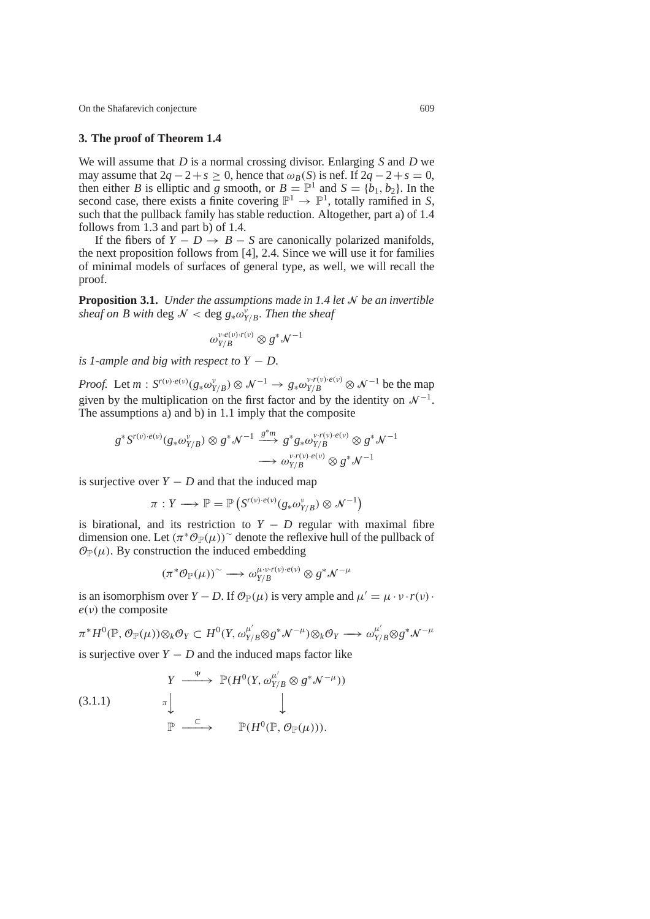## **3. The proof of Theorem 1.4**

We will assume that *D* is a normal crossing divisor. Enlarging *S* and *D* we may assume that  $2q - 2 + s \ge 0$ , hence that  $\omega_B(S)$  is nef. If  $2q - 2 + s = 0$ , then either *B* is elliptic and *g* smooth, or  $B = \mathbb{P}^1$  and  $S = \{b_1, b_2\}$ . In the second case, there exists a finite covering  $\mathbb{P}^1 \to \mathbb{P}^1$ , totally ramified in *S*, such that the pullback family has stable reduction. Altogether, part a) of 1.4 follows from 1.3 and part b) of 1.4.

If the fibers of  $Y - D \rightarrow B - S$  are canonically polarized manifolds, the next proposition follows from [4], 2.4. Since we will use it for families of minimal models of surfaces of general type, as well, we will recall the proof.

**Proposition 3.1.** *Under the assumptions made in 1.4 let* N *be an invertible sheaf on B with deg*  $\mathcal{N} <$  deg  $g_* \omega_{Y/B}^{\nu}$ *. Then the sheaf* 

$$
\omega_{Y/B}^{\nu \cdot e(\nu) \cdot r(\nu)} \otimes g^* \mathcal{N}^{-1}
$$

*is 1-ample and big with respect to*  $Y - D$ .

*Proof.* Let  $m: S^{r(\nu) \cdot e(\nu)}(g_* \omega_{Y/B}^{\nu}) \otimes \mathcal{N}^{-1} \to g_* \omega_{Y/B}^{\nu \cdot r(\nu) \cdot e(\nu)} \otimes \mathcal{N}^{-1}$  be the map given by the multiplication on the first factor and by the identity on  $\mathcal{N}^{-1}$ . The assumptions a) and b) in 1.1 imply that the composite

$$
g^*S^{r(\nu)\cdot e(\nu)}(g_*\omega_{Y/B}^{\nu})\otimes g^*\mathcal{N}^{-1}\xrightarrow{g^*m}g^*g_*\omega_{Y/B}^{\nu\cdot r(\nu)\cdot e(\nu)}\otimes g^*\mathcal{N}^{-1}\longrightarrow \omega_{Y/B}^{\nu\cdot r(\nu)\cdot e(\nu)}\otimes g^*\mathcal{N}^{-1}
$$

is surjective over  $Y - D$  and that the induced map

$$
\pi: Y \longrightarrow \mathbb{P} = \mathbb{P}\left(S^{r(\nu) \cdot e(\nu)}(g_* \omega_{Y/B}^{\nu}) \otimes \mathcal{N}^{-1}\right)
$$

is birational, and its restriction to  $Y - D$  regular with maximal fibre dimension one. Let  $(\pi^* \mathcal{O}_{\mathbb{P}}(\mu))^{\sim}$  denote the reflexive hull of the pullback of  $\mathcal{O}_{\mathbb{P}}(\mu)$ . By construction the induced embedding

$$
(\pi^*\mathcal{O}_{\mathbb{P}}(\mu))^{\sim}\longrightarrow \omega^{\mu\cdot \nu\cdot r(\nu)\cdot e(\nu)}_{Y/B}\otimes g^*\mathcal{N}^{-\mu}
$$

is an isomorphism over *Y* − *D*. If  $\mathcal{O}_P(\mu)$  is very ample and  $\mu' = \mu \cdot \nu \cdot r(\nu)$ .  $e(v)$  the composite

$$
\pi^* H^0(\mathbb{P}, \mathcal{O}_{\mathbb{P}}(\mu)) \otimes_k \mathcal{O}_Y \subset H^0(Y, \omega_{Y/B}^{\mu'} \otimes g^* \mathcal{N}^{-\mu}) \otimes_k \mathcal{O}_Y \longrightarrow \omega_{Y/B}^{\mu'} \otimes g^* \mathcal{N}^{-\mu}
$$

is surjective over  $Y - D$  and the induced maps factor like

(3.1.1) 
$$
Y \xrightarrow{\Psi} \mathbb{P}(H^0(Y, \omega_{Y/B}^{\mu'}) \otimes g^* \mathcal{N}^{-\mu}))
$$

$$
\pi \downarrow \qquad \qquad \downarrow
$$

$$
\mathbb{P} \xrightarrow{\subset} \mathbb{P}(H^0(\mathbb{P}, \mathcal{O}_{\mathbb{P}}(\mu))).
$$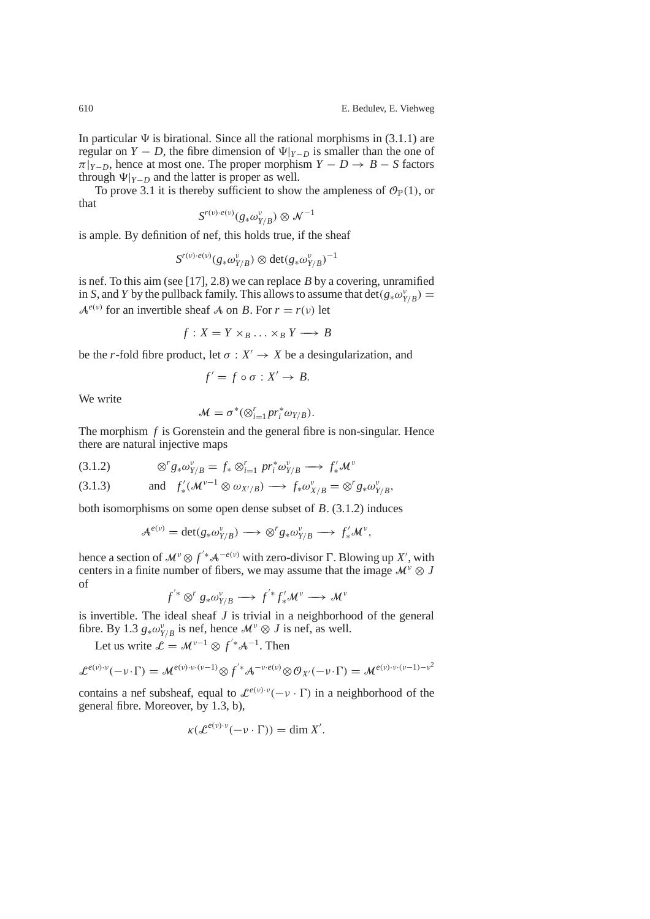In particular  $\Psi$  is birational. Since all the rational morphisms in (3.1.1) are regular on *Y* − *D*, the fibre dimension of  $\Psi|_{Y-D}$  is smaller than the one of  $\pi|_{Y-D}$ , hence at most one. The proper morphism  $Y - D \rightarrow B - S$  factors through  $\Psi|_{Y-D}$  and the latter is proper as well.

To prove 3.1 it is thereby sufficient to show the ampleness of  $\mathcal{O}_{\mathbb{P}}(1)$ , or that

$$
S^{r(\nu)\cdot e(\nu)}(g_*\omega_{Y/B}^{\nu})\otimes \mathcal{N}^{-1}
$$

is ample. By definition of nef, this holds true, if the sheaf

$$
S^{r(v)\cdot e(v)}(g_*\omega_{Y/B}^v) \otimes \det(g_*\omega_{Y/B}^v)^{-1}
$$

is nef. To this aim (see [17], 2.8) we can replace *B* by a covering, unramified in *S*, and *Y* by the pullback family. This allows to assume that  $\det(g_*\omega_{Y/B}^v)$  =  $A^{e(v)}$  for an invertible sheaf A on *B*. For  $r = r(v)$  let

$$
f: X = Y \times_B \ldots \times_B Y \longrightarrow B
$$

be the *r*-fold fibre product, let  $\sigma : X' \to X$  be a desingularization, and

$$
f'=f\circ\sigma:X'\to B.
$$

We write

$$
\mathcal{M} = \sigma^*(\otimes_{i=1}^r pr_i^* \omega_{Y/B}).
$$

The morphism *f* is Gorenstein and the general fibre is non-singular. Hence there are natural injective maps

$$
(3.1.2) \t\t\t\otimes^r g_* \omega_{Y/B}^v = f_* \otimes_{i=1}^r pr_i^* \omega_{Y/B}^v \longrightarrow f'_* \mathcal{M}^v
$$

(3.1.3) and 
$$
f'_*(\mathcal{M}^{\nu-1} \otimes \omega_{X'/B}) \longrightarrow f_*\omega_{X/B}^{\nu} = \otimes^r g_*\omega_{Y/B}^{\nu},
$$

both isomorphisms on some open dense subset of *B*. (3.1.2) induces

$$
\mathcal{A}^{e(\nu)} = \det(g_*\omega_{Y/B}^{\nu}) \longrightarrow \otimes^r g_*\omega_{Y/B}^{\nu} \longrightarrow f'_*\mathcal{M}^{\nu},
$$

hence a section of  $\mathcal{M}^{\nu} \otimes f^{\prime*} \mathcal{A}^{-e(\nu)}$  with zero-divisor  $\Gamma$ . Blowing up *X'*, with centers in a finite number of fibers, we may assume that the image  $\mathcal{M}^{\nu} \otimes J$ of

$$
f^{'*} \otimes^r g_* \omega_{Y/B}^v \longrightarrow f^{'*} f'_* \mathcal{M}^v \longrightarrow \mathcal{M}^v
$$

is invertible. The ideal sheaf *J* is trivial in a neighborhood of the general fibre. By 1.3  $g_* \omega_{Y/B}^{\nu}$  is nef, hence  $\mathcal{M}^{\nu} \otimes J$  is nef, as well.

Let us write  $\mathcal{L} = \mathcal{M}^{\nu-1} \otimes f'^* \mathcal{A}^{-1}$ . Then

$$
\mathcal{L}^{e(\nu)\cdot\nu}(-\nu\cdot\Gamma)=\mathcal{M}^{e(\nu)\cdot\nu\cdot(\nu-1)}\otimes f^{'*}\mathcal{A}^{-\nu\cdot e(\nu)}\otimes\mathcal{O}_{X'}(-\nu\cdot\Gamma)=\mathcal{M}^{e(\nu)\cdot\nu\cdot(\nu-1)-\nu^2}
$$

contains a nef subsheaf, equal to  $\mathcal{L}^{e(\nu)\cdot\nu}(-\nu\cdot\Gamma)$  in a neighborhood of the general fibre. Moreover, by 1.3, b),

$$
\kappa(\mathcal{L}^{e(\nu)\cdot\nu}(-\nu\cdot\Gamma))=\dim X'.
$$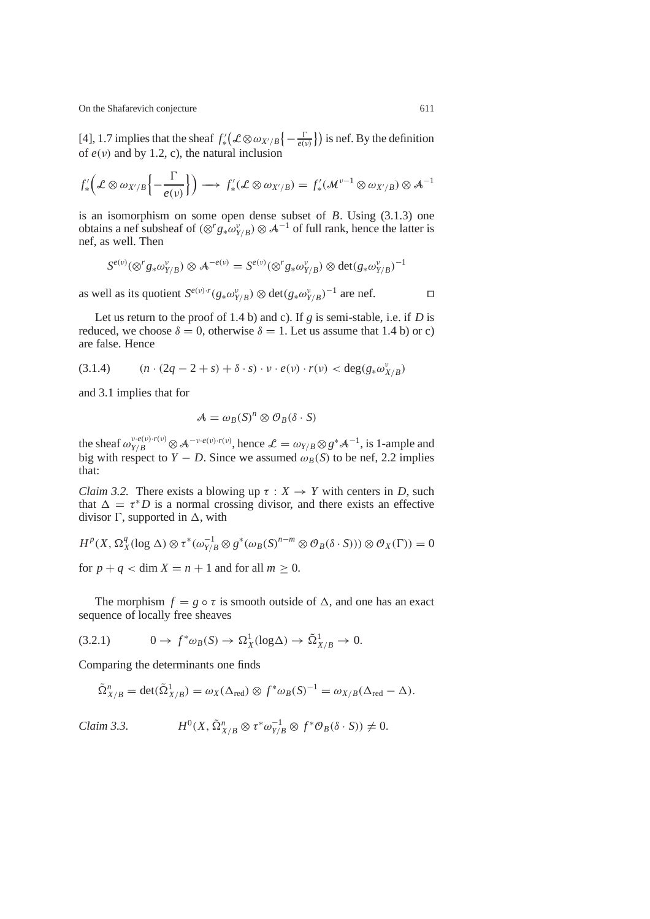[4], 1.7 implies that the sheaf  $f'_*(\mathcal{L} \otimes \omega_{X'/B}\{-\frac{\Gamma}{e(v)}\})$  is nef. By the definition of  $e(v)$  and by 1.2, c), the natural inclusion

$$
f'_{*}\left(\mathcal{L}\otimes\omega_{X'/B}\left\{-\frac{\Gamma}{e(\nu)}\right\}\right)\longrightarrow f'_{*}(\mathcal{L}\otimes\omega_{X'/B})=f'_{*}(\mathcal{M}^{\nu-1}\otimes\omega_{X'/B})\otimes\mathcal{A}^{-1}
$$

is an isomorphism on some open dense subset of *B*. Using (3.1.3) one obtains a nef subsheaf of  $(\otimes^r g_* \omega_{Y/B}^{\nu}) \otimes A^{-1}$  of full rank, hence the latter is nef, as well. Then

$$
S^{e(v)}(\otimes^r g_* \omega_{Y/B}^v) \otimes A^{-e(v)} = S^{e(v)}(\otimes^r g_* \omega_{Y/B}^v) \otimes \det(g_* \omega_{Y/B}^v)^{-1}
$$

as well as its quotient  $S^{e(v)\cdot r}(g_*\omega_{Y/B}^v) \otimes \det(g_*\omega_{Y/B}^v)^{-1}$  are nef.  $\square$ 

Let us return to the proof of 1.4 b) and c). If *g* is semi-stable, i.e. if *D* is reduced, we choose  $\delta = 0$ , otherwise  $\delta = 1$ . Let us assume that 1.4 b) or c) are false. Hence

$$
(3.1.4) \qquad (n \cdot (2q - 2 + s) + \delta \cdot s) \cdot v \cdot e(v) \cdot r(v) < \deg(g_* \omega_{X/B}^v)
$$

and 3.1 implies that for

$$
A = \omega_B(S)^n \otimes \mathcal{O}_B(\delta \cdot S)
$$

the sheaf  $\omega_{Y/B}^{v \cdot e(v) \cdot r(v)} \otimes A^{-v \cdot e(v) \cdot r(v)}$ , hence  $\mathcal{L} = \omega_{Y/B} \otimes g^* A^{-1}$ , is 1-ample and big with respect to *Y* − *D*. Since we assumed  $\omega_B(S)$  to be nef, 2.2 implies that:

*Claim 3.2.* There exists a blowing up  $\tau : X \to Y$  with centers in *D*, such that  $\Delta = \tau^* D$  is a normal crossing divisor, and there exists an effective divisor Γ, supported in ∆, with

$$
H^{p}(X, \Omega_X^q(\log \Delta) \otimes \tau^*(\omega_{Y/B}^{-1} \otimes g^*(\omega_B(S)^{n-m} \otimes \mathcal{O}_B(\delta \cdot S))) \otimes \mathcal{O}_X(\Gamma)) = 0
$$

for  $p + q < \dim X = n + 1$  and for all  $m \ge 0$ .

The morphism  $f = g \circ \tau$  is smooth outside of  $\Delta$ , and one has an exact sequence of locally free sheaves

$$
(3.2.1) \t 0 \to f^* \omega_B(S) \to \Omega_X^1(\log \Delta) \to \tilde{\Omega}_{X/B}^1 \to 0.
$$

Comparing the determinants one finds

$$
\tilde{\Omega}_{X/B}^n = \det(\tilde{\Omega}_{X/B}^1) = \omega_X(\Delta_{\text{red}}) \otimes f^* \omega_B(S)^{-1} = \omega_{X/B}(\Delta_{\text{red}} - \Delta).
$$

Claim 3.3. 
$$
H^{0}(X, \tilde{\Omega}_{X/B}^{n} \otimes \tau^{*}\omega_{Y/B}^{-1} \otimes f^{*}\mathcal{O}_{B}(\delta \cdot S)) \neq 0.
$$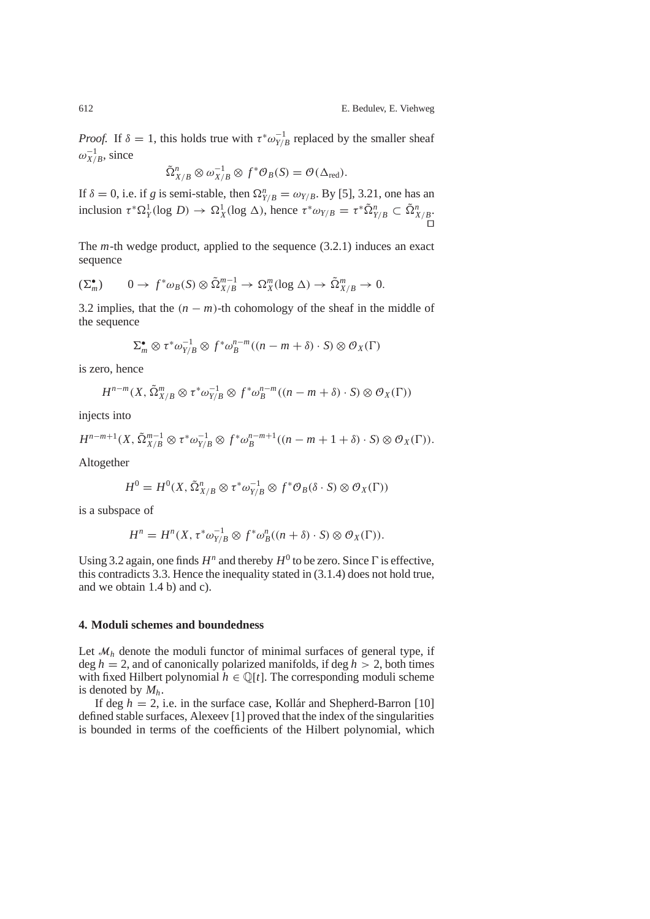*Proof.* If  $\delta = 1$ , this holds true with  $\tau^* \omega_{Y/B}^{-1}$  replaced by the smaller sheaf  $\omega_{X/B}^{-1}$ , since

$$
\tilde{\Omega}_{X/B}^n \otimes \omega_{X/B}^{-1} \otimes f^* \mathcal{O}_B(S) = \mathcal{O}(\Delta_{\text{red}}).
$$

If  $\delta = 0$ , i.e. if *g* is semi-stable, then  $\Omega_{Y/B}^n = \omega_{Y/B}$ . By [5], 3.21, one has an inclusion  $\tau^* \Omega_Y^1(\log D) \to \Omega_X^1(\log \Delta)$ , hence  $\tau^* \omega_{Y/B} = \tau^* \tilde{\Omega}_{Y/B}^n \subset \tilde{\Omega}_{X/B}^n$ . .<br>O

The *m*-th wedge product, applied to the sequence (3.2.1) induces an exact sequence

$$
(\Sigma_m^{\bullet}) \qquad 0 \to f^* \omega_B(S) \otimes \tilde{\Omega}_{X/B}^{m-1} \to \Omega_X^m(\log \Delta) \to \tilde{\Omega}_{X/B}^m \to 0.
$$

3.2 implies, that the  $(n - m)$ -th cohomology of the sheaf in the middle of the sequence

$$
\Sigma_m^{\bullet} \otimes \tau^* \omega_{Y/B}^{-1} \otimes f^* \omega_B^{n-m} ((n-m+\delta) \cdot S) \otimes \mathcal{O}_X(\Gamma)
$$

is zero, hence

$$
H^{n-m}(X, \tilde{\Omega}_{X/B}^m \otimes \tau^* \omega_{Y/B}^{-1} \otimes f^* \omega_B^{n-m}((n-m+\delta)\cdot S) \otimes \mathcal{O}_X(\Gamma))
$$

injects into

$$
H^{n-m+1}(X, \tilde{\Omega}_{X/B}^{m-1} \otimes \tau^* \omega_{Y/B}^{-1} \otimes f^* \omega_B^{n-m+1}((n-m+1+\delta)\cdot S) \otimes \mathcal{O}_X(\Gamma)).
$$

Altogether

$$
H^0 = H^0(X, \tilde{\Omega}_{X/B}^n \otimes \tau^* \omega_{Y/B}^{-1} \otimes f^* \mathcal{O}_B(\delta \cdot S) \otimes \mathcal{O}_X(\Gamma))
$$

is a subspace of

$$
H^{n} = H^{n}(X, \tau^{*}\omega_{Y/B}^{-1} \otimes f^{*}\omega_{B}^{n}((n+\delta) \cdot S) \otimes \mathcal{O}_{X}(\Gamma)).
$$

Using 3.2 again, one finds  $H^n$  and thereby  $H^0$  to be zero. Since  $\Gamma$  is effective, this contradicts 3.3. Hence the inequality stated in (3.1.4) does not hold true, and we obtain 1.4 b) and c).

#### **4. Moduli schemes and boundedness**

Let  $\mathcal{M}_h$  denote the moduli functor of minimal surfaces of general type, if deg  $h = 2$ , and of canonically polarized manifolds, if deg  $h > 2$ , both times with fixed Hilbert polynomial  $h \in \mathbb{Q}[t]$ . The corresponding moduli scheme is denoted by *Mh*.

If deg  $h = 2$ , i.e. in the surface case, Kollár and Shepherd-Barron [10] defined stable surfaces, Alexeev [1] proved that the index of the singularities is bounded in terms of the coefficients of the Hilbert polynomial, which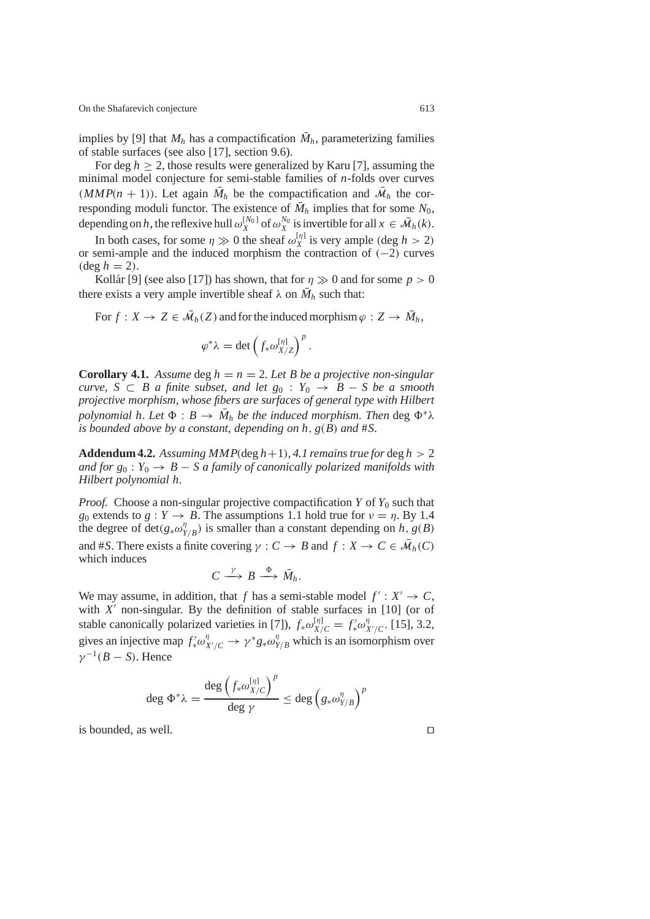implies by [9] that  $M_h$  has a compactification  $\overline{M}_h$ , parameterizing families of stable surfaces (see also [17], section 9.6).

For deg  $h \geq 2$ , those results were generalized by Karu [7], assuming the minimal model conjecture for semi-stable families of *n*-folds over curves (*MMP*( $n + 1$ )). Let again  $\overline{M}_h$  be the compactification and  $\overline{M}_h$  the corresponding moduli functor. The existence of  $\bar{M}_h$  implies that for some  $N_0$ , depending on *h*, the reflexive hull  $\omega_X^{[N_0]}$  of  $\omega_X^{N_0}$  is invertible for all  $x \in \bar{\mathcal{M}}_h(k)$ .

In both cases, for some  $\eta \gg 0$  the sheaf  $\omega_X^{[\eta]}$  is very ample (deg  $h > 2$ ) or semi-ample and the induced morphism the contraction of (−2) curves  $(\text{deg } h = 2).$ 

Kollár [9] (see also [17]) has shown, that for  $\eta \gg 0$  and for some  $p > 0$ there exists a very ample invertible sheaf  $\lambda$  on  $\overline{M}_h$  such that:

For  $f: X \to Z \in \overline{\mathcal{M}}_h(Z)$  and for the induced morphism  $\varphi: Z \to \overline{\mathcal{M}}_h$ ,

$$
\varphi^* \lambda = \det \left( f_* \omega_{X/Z}^{[\eta]} \right)^p
$$

.

**Corollary 4.1.** *Assume* deg  $h = n = 2$ *. Let B be a projective non-singular curve, S* ⊂ *B a* finite subset, and let  $g_0$  :  $Y_0$  → *B* − *S be a smooth projective morphism, whose fibers are surfaces of general type with Hilbert polynomial h.* Let  $\Phi : B \to \overline{M}_h$  *be the induced morphism. Then* deg  $\Phi^* \lambda$ *is bounded above by a constant, depending on h*, *g*(*B*) *and* #*S.*

**Addendum 4.2.** Assuming  $MMP(\text{deg } h+1)$ , 4.1 remains true for  $\text{deg } h > 2$ *and for*  $g_0: Y_0 \to B - S$  *a family of canonically polarized manifolds with Hilbert polynomial h.*

*Proof.* Choose a non-singular projective compactification *Y* of *Y*<sup>0</sup> such that *g*<sub>0</sub> extends to *g* :  $Y \rightarrow B$ . The assumptions 1.1 hold true for  $v = \eta$ . By 1.4 the degree of det( $g_*\omega_{Y/B}^{\eta}$ ) is smaller than a constant depending on *h*, *g*(*B*) and #*S*. There exists a finite covering  $\gamma : C \to B$  and  $f : X \to C \in \overline{\mathcal{M}}_h(C)$ which induces

$$
C\stackrel{\gamma}{\longrightarrow}B\stackrel{\Phi}{\longrightarrow}\bar{M}_h.
$$

We may assume, in addition, that *f* has a semi-stable model  $f' : X' \rightarrow C$ , with  $X'$  non-singular. By the definition of stable surfaces in  $[10]$  (or of stable canonically polarized varieties in [7]),  $f_* \omega_{X/C}^{[\eta]} = f'_* \omega_{X/C}^{\eta}$ . [15], 3.2, gives an injective map  $f'_* \omega_{X'/C}^{\eta} \to \gamma^* g_* \omega_{Y/B}^{\eta}$  which is an isomorphism over  $\nu^{-1}(B - S)$ . Hence

$$
\deg \Phi^* \lambda = \frac{\deg \left( f_* \omega_{X/C}^{[\eta]}\right)^p}{\deg \gamma} \leq \deg \left( g_* \omega_{Y/B}^{\eta} \right)^p
$$

is bounded, as well.  $\Box$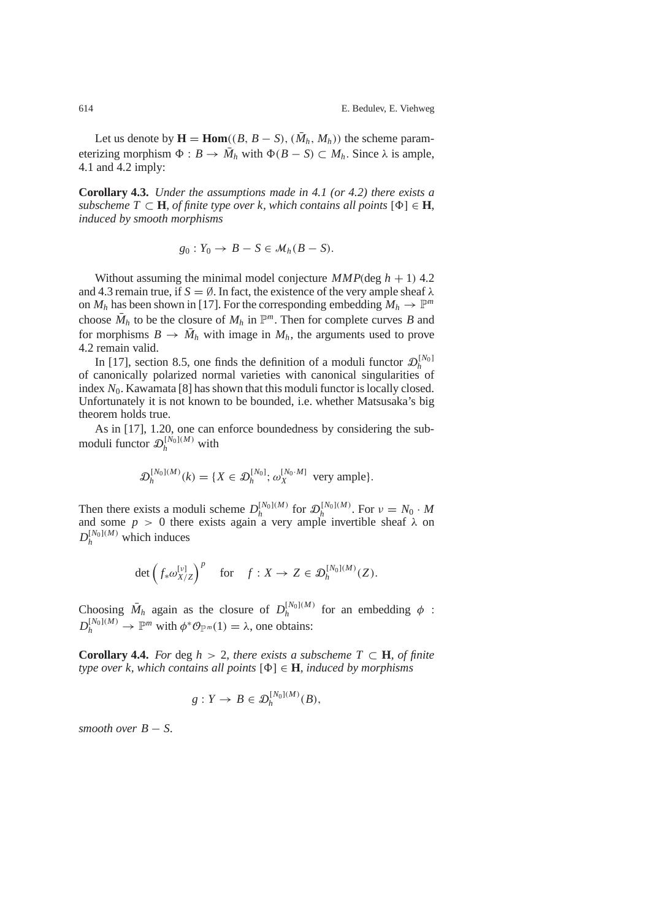Let us denote by  $\mathbf{H} = \text{Hom}((B, B - S), (\bar{M}_h, M_h))$  the scheme parameterizing morphism  $\Phi : B \to \overline{M}_h$  with  $\Phi(B - S) \subset M_h$ . Since  $\lambda$  is ample, 4.1 and 4.2 imply:

**Corollary 4.3.** *Under the assumptions made in 4.1 (or 4.2) there exists a subscheme*  $T \subset \mathbf{H}$ *, of finite type over k, which contains all points*  $[\Phi] \in \mathbf{H}$ *, induced by smooth morphisms*

$$
g_0: Y_0 \to B - S \in \mathcal{M}_h(B - S).
$$

Without assuming the minimal model conjecture  $MMP(\text{deg } h + 1)$  4.2 and 4.3 remain true, if  $S = \emptyset$ . In fact, the existence of the very ample sheaf  $\lambda$ on  $M_h$  has been shown in [17]. For the corresponding embedding  $M_h \to \mathbb{P}^m$ choose  $\overline{M}_h$  to be the closure of  $M_h$  in  $\mathbb{P}^m$ . Then for complete curves *B* and for morphisms  $B \to \overline{M}_h$  with image in  $M_h$ , the arguments used to prove 4.2 remain valid.

In [17], section 8.5, one finds the definition of a moduli functor  $\mathcal{D}_h^{[N_0]}$ of canonically polarized normal varieties with canonical singularities of index  $N_0$ . Kawamata [8] has shown that this moduli functor is locally closed. Unfortunately it is not known to be bounded, i.e. whether Matsusaka's big theorem holds true.

As in [17], 1.20, one can enforce boundedness by considering the submoduli functor  $\mathcal{D}_h^{[N_0](M)}$  with

$$
\mathcal{D}_h^{[N_0](M)}(k) = \{ X \in \mathcal{D}_h^{[N_0]}; \omega_X^{[N_0 \cdot M]} \text{ very ample} \}.
$$

Then there exists a moduli scheme  $D_h^{[N_0](M)}$  for  $\mathcal{D}_h^{[N_0](M)}$ . For  $v = N_0 \cdot M$ and some  $p > 0$  there exists again a very ample invertible sheaf  $\lambda$  on  $D_h^{[N_0](M)}$  which induces

$$
\det \left( f_* \omega_{X/Z}^{[\nu]} \right)^p \quad \text{for} \quad f: X \to Z \in \mathfrak{D}_h^{[N_0](M)}(Z).
$$

Choosing  $\bar{M}_h$  again as the closure of  $D_h^{[N_0](M)}$  for an embedding  $\phi$ :  $D_h^{[N_0](M)} \to \mathbb{P}^m$  with  $\phi^* \mathcal{O}_{\mathbb{P}^m}(1) = \lambda$ , one obtains:

**Corollary 4.4.** *For* deg  $h > 2$ *, there exists a subscheme*  $T \subset H$ *, of finite type over k, which contains all points* [Φ] ∈ **H***, induced by morphisms*

$$
g: Y \to B \in \mathcal{D}_h^{[N_0](M)}(B),
$$

*smooth over*  $B - S$ .